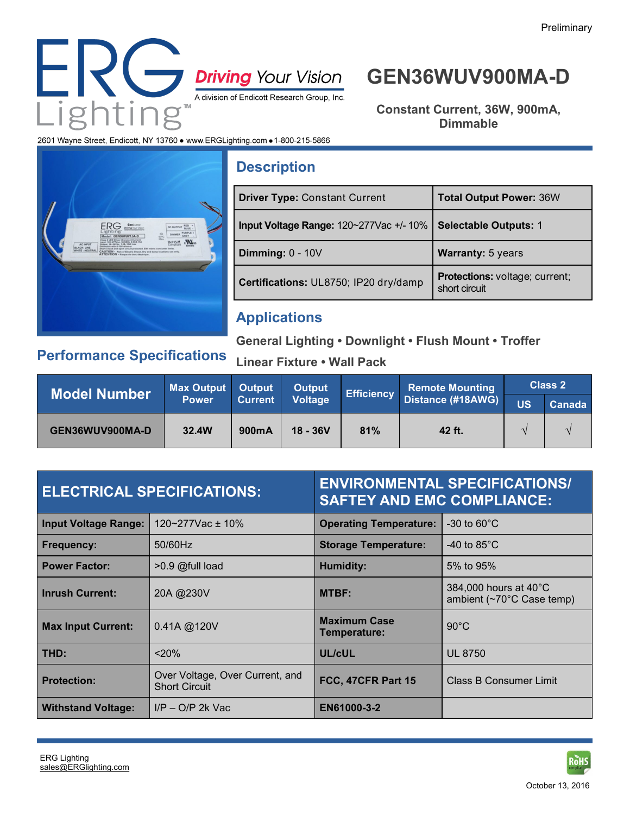

# **GEN36WUV900MA-D**

**Constant Current, 36W, 900mA, Dimmable**

2601 Wayne Street, Endicott, NY 13760 . www.ERGLighting.com . 1-800-215-5866



## **Description**

| <b>Driver Type: Constant Current</b>   | <b>Total Output Power: 36W</b>                  |  |
|----------------------------------------|-------------------------------------------------|--|
| Input Voltage Range: 120~277Vac +/-10% | <b>Selectable Outputs: 1</b>                    |  |
| Dimming: $0 - 10V$                     | <b>Warranty: 5 years</b>                        |  |
| Certifications: UL8750; IP20 dry/damp  | Protections: voltage; current;<br>short circuit |  |

## **Applications**

**General Lighting • Downlight • Flush Mount • Troffer**

## **Performance Specifications**

**Linear Fixture • Wall Pack** 

| <b>Model Number</b> | <b>Max Output</b> Output |                | <b>Output</b> |     | <b>Efficiency Remote Mounting  </b><br>  Distance (#18AWG) | <b>Class 2</b> |        |
|---------------------|--------------------------|----------------|---------------|-----|------------------------------------------------------------|----------------|--------|
|                     | <b>Power</b>             | <b>Current</b> | Voltage       |     |                                                            | <b>US</b>      | Canada |
| GEN36WUV900MA-D     | 32.4W                    | 900mA          | $18 - 36V$    | 81% | 42 ft.                                                     |                |        |

| <b>ELECTRICAL SPECIFICATIONS:</b> |                                                         | <b>ENVIRONMENTAL SPECIFICATIONS/</b><br><b>SAFTEY AND EMC COMPLIANCE:</b> |                                                    |  |
|-----------------------------------|---------------------------------------------------------|---------------------------------------------------------------------------|----------------------------------------------------|--|
| <b>Input Voltage Range:</b>       | 120~277Vac ± 10%                                        | <b>Operating Temperature:</b>                                             | $-30$ to 60 $^{\circ}$ C                           |  |
| <b>Frequency:</b>                 | 50/60Hz                                                 | <b>Storage Temperature:</b>                                               | -40 to $85^{\circ}$ C                              |  |
| <b>Power Factor:</b>              | >0.9 @full load                                         | <b>Humidity:</b>                                                          | 5% to 95%                                          |  |
| <b>Inrush Current:</b>            | 20A @230V                                               | <b>MTBF:</b>                                                              | 384,000 hours at 40°C<br>ambient (~70°C Case temp) |  |
| <b>Max Input Current:</b>         | $0.41A \t@120V$                                         | <b>Maximum Case</b><br>Temperature:                                       | $90^{\circ}$ C                                     |  |
| THD:                              | < 20%                                                   | UL/cUL                                                                    | <b>UL 8750</b>                                     |  |
| <b>Protection:</b>                | Over Voltage, Over Current, and<br><b>Short Circuit</b> | FCC, 47CFR Part 15                                                        | Class B Consumer Limit                             |  |
| <b>Withstand Voltage:</b>         | $I/P - O/P$ 2k Vac                                      | EN61000-3-2                                                               |                                                    |  |